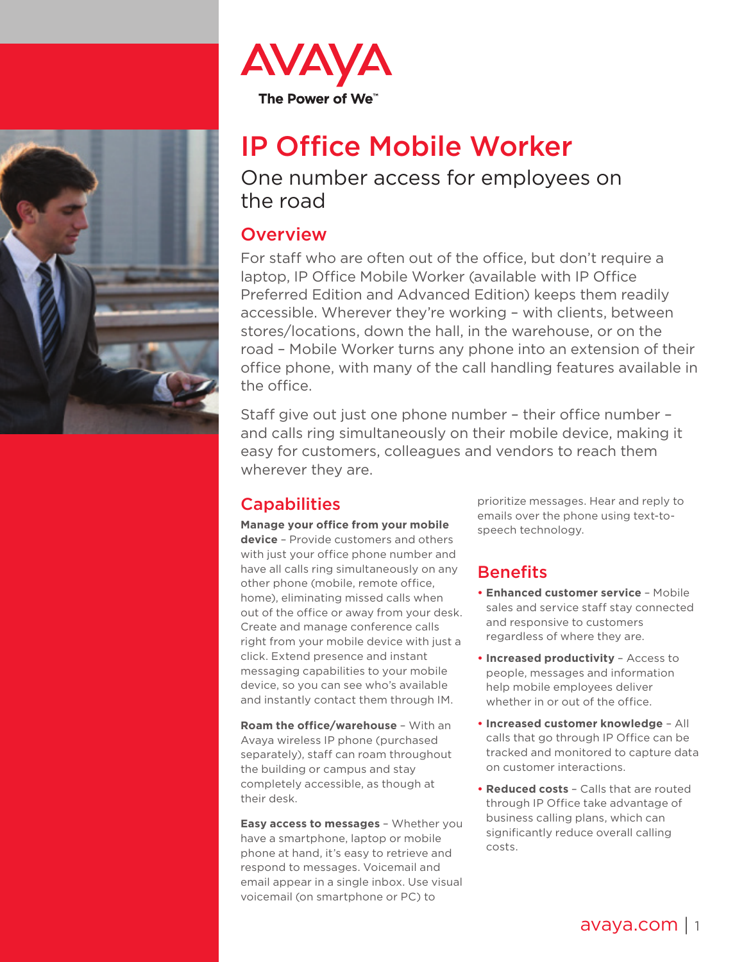



## IP Office Mobile Worker

One number access for employees on the road

## **Overview**

For staff who are often out of the office, but don't require a laptop, IP Office Mobile Worker (available with IP Office Preferred Edition and Advanced Edition) keeps them readily accessible. Wherever they're working – with clients, between stores/locations, down the hall, in the warehouse, or on the road – Mobile Worker turns any phone into an extension of their office phone, with many of the call handling features available in the office.

Staff give out just one phone number – their office number – and calls ring simultaneously on their mobile device, making it easy for customers, colleagues and vendors to reach them wherever they are.

## **Capabilities**

**Manage your office from your mobile device** – Provide customers and others with just your office phone number and have all calls ring simultaneously on any other phone (mobile, remote office, home), eliminating missed calls when out of the office or away from your desk. Create and manage conference calls right from your mobile device with just a click. Extend presence and instant messaging capabilities to your mobile device, so you can see who's available and instantly contact them through IM.

**Roam the office/warehouse** – With an Avaya wireless IP phone (purchased separately), staff can roam throughout the building or campus and stay completely accessible, as though at their desk.

**Easy access to messages** – Whether you have a smartphone, laptop or mobile phone at hand, it's easy to retrieve and respond to messages. Voicemail and email appear in a single inbox. Use visual voicemail (on smartphone or PC) to

prioritize messages. Hear and reply to emails over the phone using text-tospeech technology.

## **Benefits**

- **• Enhanced customer service** Mobile sales and service staff stay connected and responsive to customers regardless of where they are.
- **• Increased productivity** Access to people, messages and information help mobile employees deliver whether in or out of the office.
- **• Increased customer knowledge** All calls that go through IP Office can be tracked and monitored to capture data on customer interactions.
- **• Reduced costs** Calls that are routed through IP Office take advantage of business calling plans, which can significantly reduce overall calling costs.